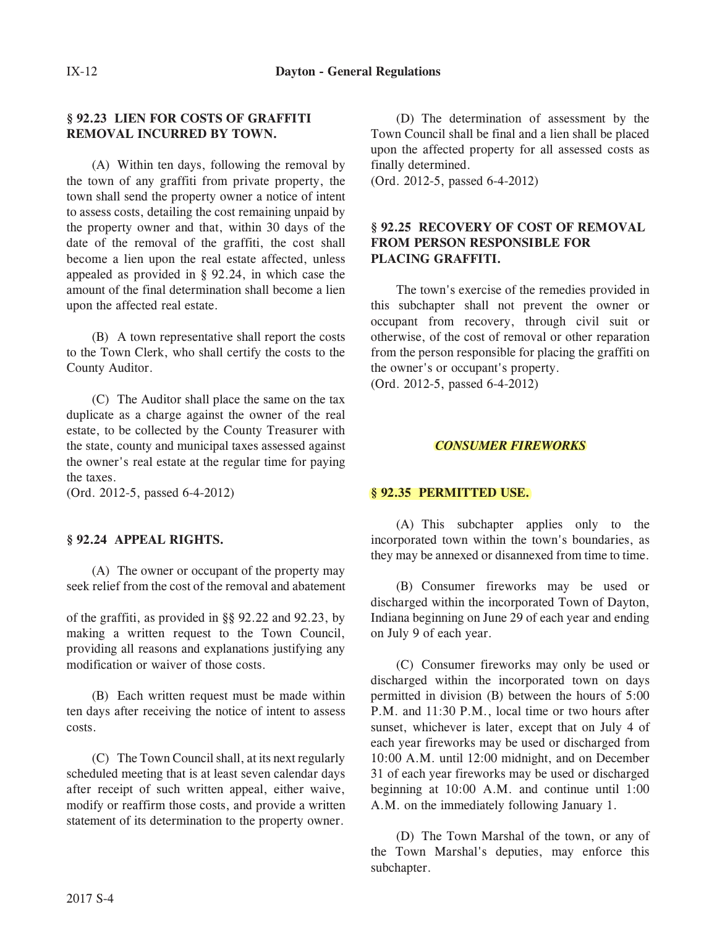### **§ 92.23 LIEN FOR COSTS OF GRAFFITI REMOVAL INCURRED BY TOWN.**

(A) Within ten days, following the removal by the town of any graffiti from private property, the town shall send the property owner a notice of intent to assess costs, detailing the cost remaining unpaid by the property owner and that, within 30 days of the date of the removal of the graffiti, the cost shall become a lien upon the real estate affected, unless appealed as provided in § 92.24, in which case the amount of the final determination shall become a lien upon the affected real estate.

(B) A town representative shall report the costs to the Town Clerk, who shall certify the costs to the County Auditor.

(C) The Auditor shall place the same on the tax duplicate as a charge against the owner of the real estate, to be collected by the County Treasurer with the state, county and municipal taxes assessed against the owner's real estate at the regular time for paying the taxes.

(Ord. 2012-5, passed 6-4-2012)

# **§ 92.24 APPEAL RIGHTS.**

(A) The owner or occupant of the property may seek relief from the cost of the removal and abatement

of the graffiti, as provided in §§ 92.22 and 92.23, by making a written request to the Town Council, providing all reasons and explanations justifying any modification or waiver of those costs.

(B) Each written request must be made within ten days after receiving the notice of intent to assess costs.

(C) The Town Council shall, at its next regularly scheduled meeting that is at least seven calendar days after receipt of such written appeal, either waive, modify or reaffirm those costs, and provide a written statement of its determination to the property owner.

(D) The determination of assessment by the Town Council shall be final and a lien shall be placed upon the affected property for all assessed costs as finally determined.

(Ord. 2012-5, passed 6-4-2012)

### **§ 92.25 RECOVERY OF COST OF REMOVAL FLACING GRAFFITI. PLACING GRAFFITI.**

The town's exercise of the remedies provided in this subchapter shall not prevent the owner or occupant from recovery, through civil suit or otherwise, of the cost of removal or other reparation from the person responsible for placing the graffiti on the owner's or occupant's property. (Ord. 2012-5, passed 6-4-2012)

#### *CONSUMER FIREWORKS*

# **§ 92.35 PERMITTED USE.**

(A) This subchapter applies only to the incorporated town within the town's boundaries, as they may be annexed or disannexed from time to time.

(B) Consumer fireworks may be used or discharged within the incorporated Town of Dayton, Indiana beginning on June 29 of each year and ending on July 9 of each year.

(C) Consumer fireworks may only be used or discharged within the incorporated town on days permitted in division (B) between the hours of 5:00 P.M. and 11:30 P.M., local time or two hours after sunset, whichever is later, except that on July 4 of each year fireworks may be used or discharged from 10:00 A.M. until 12:00 midnight, and on December 31 of each year fireworks may be used or discharged beginning at 10:00 A.M. and continue until 1:00 A.M. on the immediately following January 1.

(D) The Town Marshal of the town, or any of the Town Marshal's deputies, may enforce this subchapter.